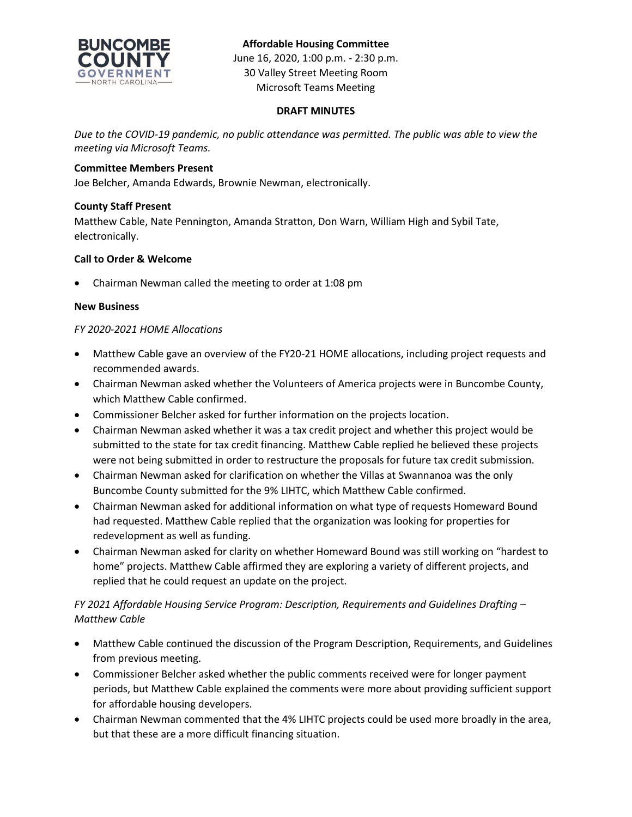

### **Affordable Housing Committee**

June 16, 2020, 1:00 p.m. - 2:30 p.m. 30 Valley Street Meeting Room Microsoft Teams Meeting

#### **DRAFT MINUTES**

*Due to the COVID-19 pandemic, no public attendance was permitted. The public was able to view the meeting via Microsoft Teams.*

#### **Committee Members Present**

Joe Belcher, Amanda Edwards, Brownie Newman, electronically.

#### **County Staff Present**

Matthew Cable, Nate Pennington, Amanda Stratton, Don Warn, William High and Sybil Tate, electronically.

#### **Call to Order & Welcome**

Chairman Newman called the meeting to order at 1:08 pm

#### **New Business**

#### *FY 2020-2021 HOME Allocations*

- Matthew Cable gave an overview of the FY20-21 HOME allocations, including project requests and recommended awards.
- Chairman Newman asked whether the Volunteers of America projects were in Buncombe County, which Matthew Cable confirmed.
- Commissioner Belcher asked for further information on the projects location.
- Chairman Newman asked whether it was a tax credit project and whether this project would be submitted to the state for tax credit financing. Matthew Cable replied he believed these projects were not being submitted in order to restructure the proposals for future tax credit submission.
- Chairman Newman asked for clarification on whether the Villas at Swannanoa was the only Buncombe County submitted for the 9% LIHTC, which Matthew Cable confirmed.
- Chairman Newman asked for additional information on what type of requests Homeward Bound had requested. Matthew Cable replied that the organization was looking for properties for redevelopment as well as funding.
- Chairman Newman asked for clarity on whether Homeward Bound was still working on "hardest to home" projects. Matthew Cable affirmed they are exploring a variety of different projects, and replied that he could request an update on the project.

# *FY 2021 Affordable Housing Service Program: Description, Requirements and Guidelines Drafting – Matthew Cable*

- Matthew Cable continued the discussion of the Program Description, Requirements, and Guidelines from previous meeting.
- Commissioner Belcher asked whether the public comments received were for longer payment periods, but Matthew Cable explained the comments were more about providing sufficient support for affordable housing developers.
- Chairman Newman commented that the 4% LIHTC projects could be used more broadly in the area, but that these are a more difficult financing situation.